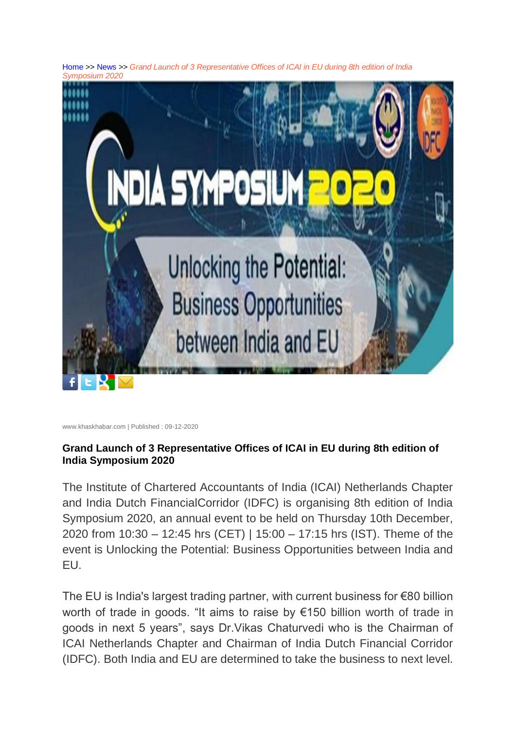[Home](https://m.khaskhabar.com/en/) >> [News](https://m.khaskhabar.com/en/general/) >> *Grand Launch of 3 Representative Offices of ICAI in EU during 8th edition of India Symposium 2020*



www.khaskhabar.com | Published : 09-12-2020

## **Grand Launch of 3 Representative Offices of ICAI in EU during 8th edition of India Symposium 2020**

The Institute of Chartered Accountants of India (ICAI) Netherlands Chapter and India Dutch FinancialCorridor (IDFC) is organising 8th edition of India Symposium 2020, an annual event to be held on Thursday 10th December, 2020 from 10:30 – 12:45 hrs (CET) | 15:00 – 17:15 hrs (IST). Theme of the event is Unlocking the Potential: Business Opportunities between India and EU.

The EU is India's largest trading partner, with current business for €80 billion worth of trade in goods. "It aims to raise by €150 billion worth of trade in goods in next 5 years", says Dr.Vikas Chaturvedi who is the Chairman of ICAI Netherlands Chapter and Chairman of India Dutch Financial Corridor (IDFC). Both India and EU are determined to take the business to next level.